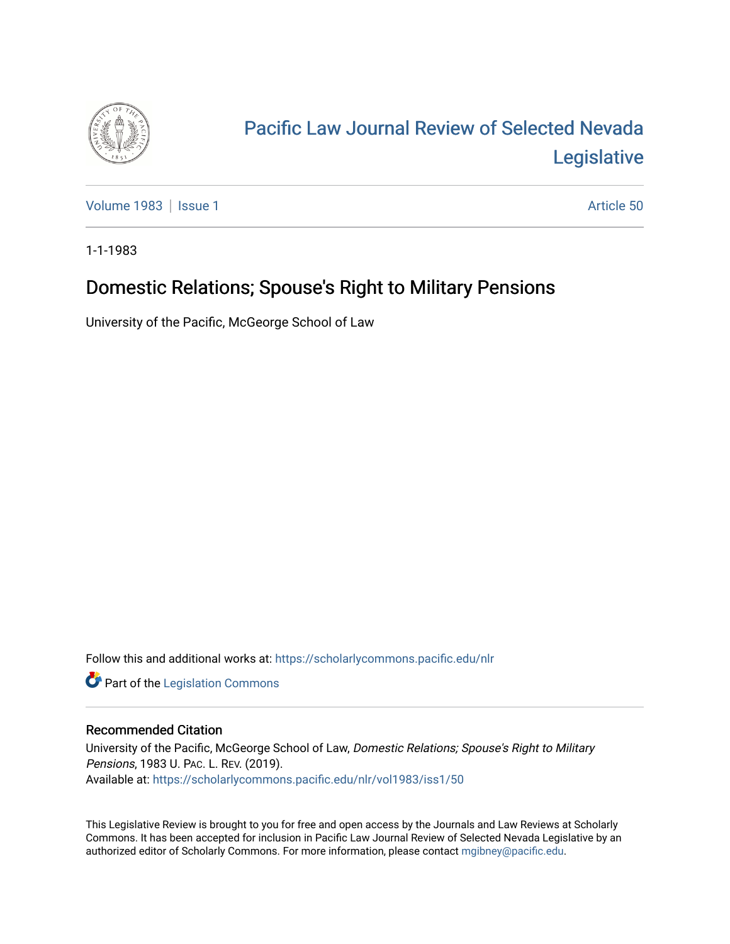

## [Pacific Law Journal Review of Selected Nevada](https://scholarlycommons.pacific.edu/nlr)  [Legislative](https://scholarlycommons.pacific.edu/nlr)

[Volume 1983](https://scholarlycommons.pacific.edu/nlr/vol1983) | [Issue 1](https://scholarlycommons.pacific.edu/nlr/vol1983/iss1) Article 50

1-1-1983

## Domestic Relations; Spouse's Right to Military Pensions

University of the Pacific, McGeorge School of Law

Follow this and additional works at: [https://scholarlycommons.pacific.edu/nlr](https://scholarlycommons.pacific.edu/nlr?utm_source=scholarlycommons.pacific.edu%2Fnlr%2Fvol1983%2Fiss1%2F50&utm_medium=PDF&utm_campaign=PDFCoverPages) 

**Part of the [Legislation Commons](http://network.bepress.com/hgg/discipline/859?utm_source=scholarlycommons.pacific.edu%2Fnlr%2Fvol1983%2Fiss1%2F50&utm_medium=PDF&utm_campaign=PDFCoverPages)** 

## Recommended Citation

University of the Pacific, McGeorge School of Law, Domestic Relations; Spouse's Right to Military Pensions, 1983 U. PAC. L. REV. (2019). Available at: [https://scholarlycommons.pacific.edu/nlr/vol1983/iss1/50](https://scholarlycommons.pacific.edu/nlr/vol1983/iss1/50?utm_source=scholarlycommons.pacific.edu%2Fnlr%2Fvol1983%2Fiss1%2F50&utm_medium=PDF&utm_campaign=PDFCoverPages)

This Legislative Review is brought to you for free and open access by the Journals and Law Reviews at Scholarly Commons. It has been accepted for inclusion in Pacific Law Journal Review of Selected Nevada Legislative by an authorized editor of Scholarly Commons. For more information, please contact [mgibney@pacific.edu](mailto:mgibney@pacific.edu).